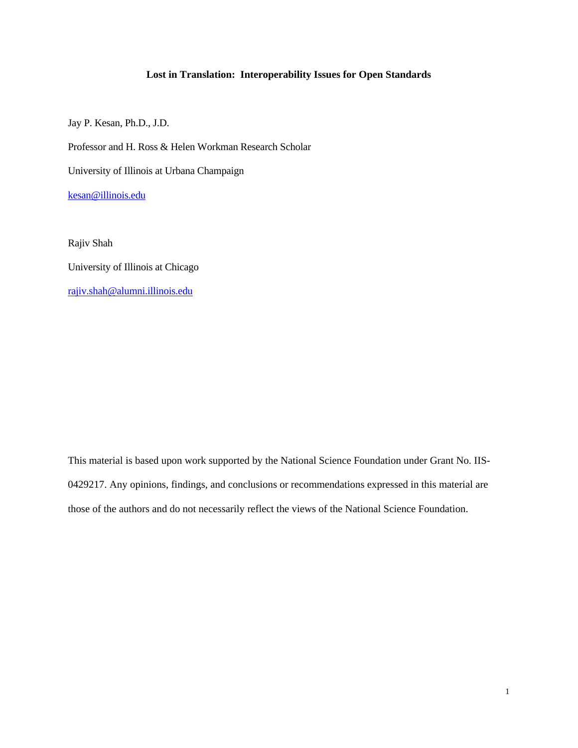## **Lost in Translation: Interoperability Issues for Open Standards**

Jay P. Kesan, Ph.D., J.D.

Professor and H. Ross & Helen Workman Research Scholar

University of Illinois at Urbana Champaign

kesan@illinois.edu

Rajiv Shah University of Illinois at Chicago rajiv.shah@alumni.illinois.edu

This material is based upon work supported by the National Science Foundation under Grant No. IIS-0429217. Any opinions, findings, and conclusions or recommendations expressed in this material are those of the authors and do not necessarily reflect the views of the National Science Foundation.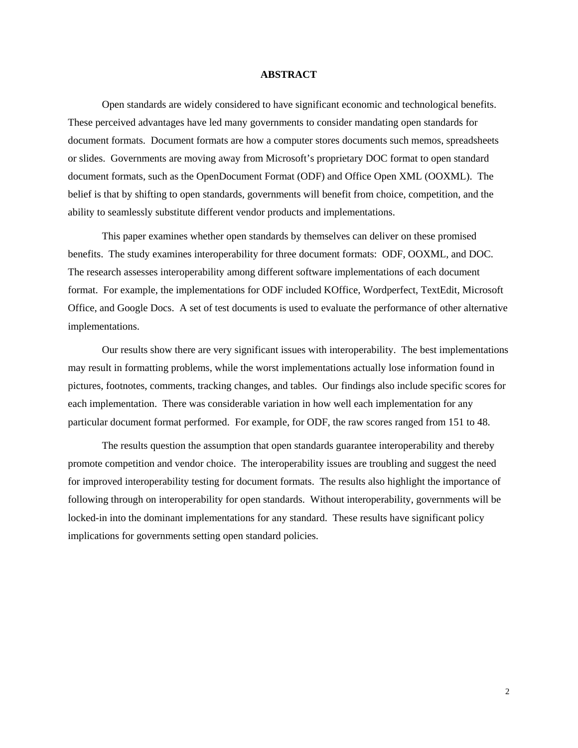#### **ABSTRACT**

Open standards are widely considered to have significant economic and technological benefits. These perceived advantages have led many governments to consider mandating open standards for document formats. Document formats are how a computer stores documents such memos, spreadsheets or slides. Governments are moving away from Microsoft's proprietary DOC format to open standard document formats, such as the OpenDocument Format (ODF) and Office Open XML (OOXML). The belief is that by shifting to open standards, governments will benefit from choice, competition, and the ability to seamlessly substitute different vendor products and implementations.

This paper examines whether open standards by themselves can deliver on these promised benefits. The study examines interoperability for three document formats: ODF, OOXML, and DOC. The research assesses interoperability among different software implementations of each document format. For example, the implementations for ODF included KOffice, Wordperfect, TextEdit, Microsoft Office, and Google Docs. A set of test documents is used to evaluate the performance of other alternative implementations.

Our results show there are very significant issues with interoperability. The best implementations may result in formatting problems, while the worst implementations actually lose information found in pictures, footnotes, comments, tracking changes, and tables. Our findings also include specific scores for each implementation. There was considerable variation in how well each implementation for any particular document format performed. For example, for ODF, the raw scores ranged from 151 to 48.

The results question the assumption that open standards guarantee interoperability and thereby promote competition and vendor choice. The interoperability issues are troubling and suggest the need for improved interoperability testing for document formats. The results also highlight the importance of following through on interoperability for open standards. Without interoperability, governments will be locked-in into the dominant implementations for any standard. These results have significant policy implications for governments setting open standard policies.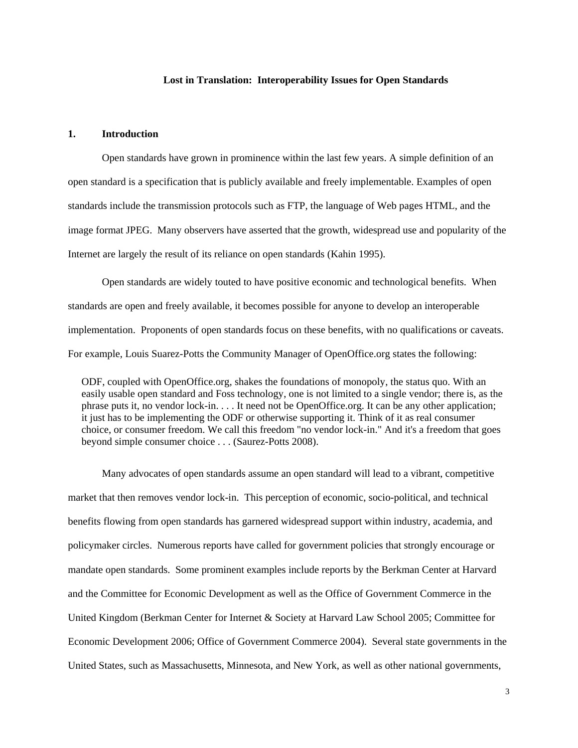### **Lost in Translation: Interoperability Issues for Open Standards**

## **1. Introduction**

 Open standards have grown in prominence within the last few years. A simple definition of an open standard is a specification that is publicly available and freely implementable. Examples of open standards include the transmission protocols such as FTP, the language of Web pages HTML, and the image format JPEG. Many observers have asserted that the growth, widespread use and popularity of the Internet are largely the result of its reliance on open standards (Kahin 1995).

 Open standards are widely touted to have positive economic and technological benefits. When standards are open and freely available, it becomes possible for anyone to develop an interoperable implementation. Proponents of open standards focus on these benefits, with no qualifications or caveats. For example, Louis Suarez-Potts the Community Manager of OpenOffice.org states the following:

ODF, coupled with OpenOffice.org, shakes the foundations of monopoly, the status quo. With an easily usable open standard and Foss technology, one is not limited to a single vendor; there is, as the phrase puts it, no vendor lock-in. . . . It need not be OpenOffice.org. It can be any other application; it just has to be implementing the ODF or otherwise supporting it. Think of it as real consumer choice, or consumer freedom. We call this freedom "no vendor lock-in." And it's a freedom that goes beyond simple consumer choice . . . (Saurez-Potts 2008).

 Many advocates of open standards assume an open standard will lead to a vibrant, competitive market that then removes vendor lock-in. This perception of economic, socio-political, and technical benefits flowing from open standards has garnered widespread support within industry, academia, and policymaker circles. Numerous reports have called for government policies that strongly encourage or mandate open standards. Some prominent examples include reports by the Berkman Center at Harvard and the Committee for Economic Development as well as the Office of Government Commerce in the United Kingdom (Berkman Center for Internet & Society at Harvard Law School 2005; Committee for Economic Development 2006; Office of Government Commerce 2004). Several state governments in the United States, such as Massachusetts, Minnesota, and New York, as well as other national governments,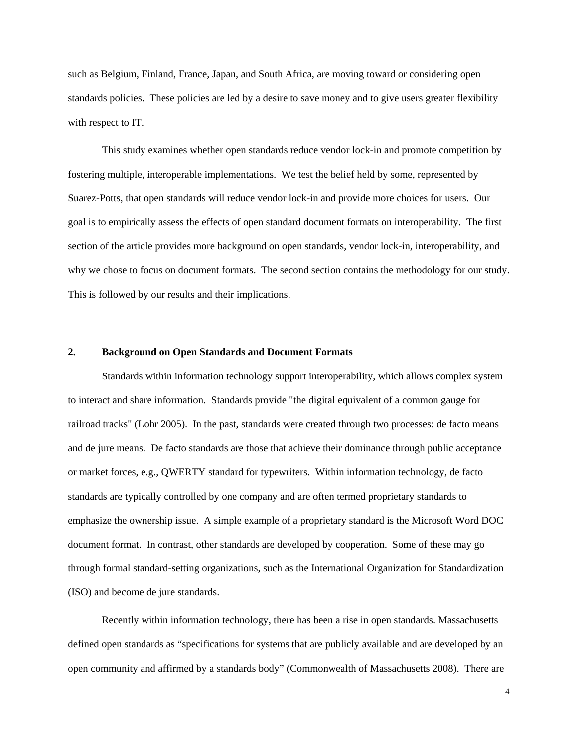such as Belgium, Finland, France, Japan, and South Africa, are moving toward or considering open standards policies. These policies are led by a desire to save money and to give users greater flexibility with respect to IT.

 This study examines whether open standards reduce vendor lock-in and promote competition by fostering multiple, interoperable implementations. We test the belief held by some, represented by Suarez-Potts, that open standards will reduce vendor lock-in and provide more choices for users. Our goal is to empirically assess the effects of open standard document formats on interoperability. The first section of the article provides more background on open standards, vendor lock-in, interoperability, and why we chose to focus on document formats. The second section contains the methodology for our study. This is followed by our results and their implications.

## **2. Background on Open Standards and Document Formats**

 Standards within information technology support interoperability, which allows complex system to interact and share information. Standards provide "the digital equivalent of a common gauge for railroad tracks" (Lohr 2005). In the past, standards were created through two processes: de facto means and de jure means. De facto standards are those that achieve their dominance through public acceptance or market forces, e.g., QWERTY standard for typewriters. Within information technology, de facto standards are typically controlled by one company and are often termed proprietary standards to emphasize the ownership issue. A simple example of a proprietary standard is the Microsoft Word DOC document format. In contrast, other standards are developed by cooperation. Some of these may go through formal standard-setting organizations, such as the International Organization for Standardization (ISO) and become de jure standards.

 Recently within information technology, there has been a rise in open standards. Massachusetts defined open standards as "specifications for systems that are publicly available and are developed by an open community and affirmed by a standards body" (Commonwealth of Massachusetts 2008). There are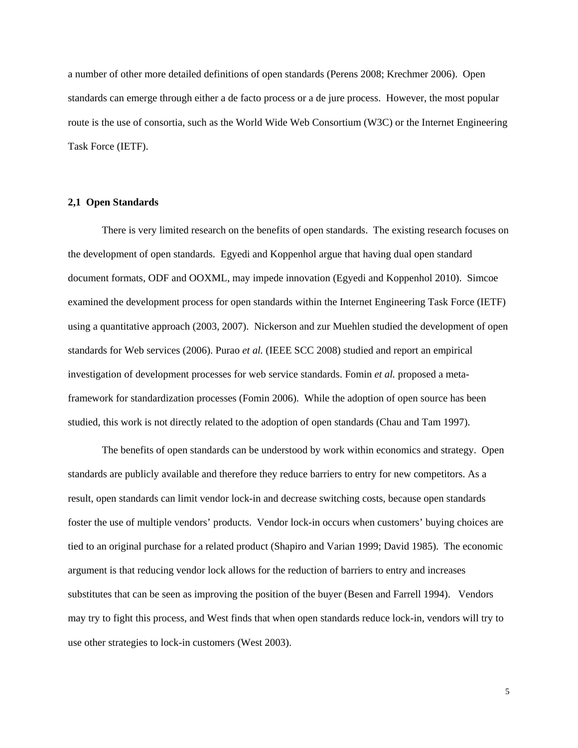a number of other more detailed definitions of open standards (Perens 2008; Krechmer 2006). Open standards can emerge through either a de facto process or a de jure process. However, the most popular route is the use of consortia, such as the World Wide Web Consortium (W3C) or the Internet Engineering Task Force (IETF).

## **2,1 Open Standards**

 There is very limited research on the benefits of open standards. The existing research focuses on the development of open standards. Egyedi and Koppenhol argue that having dual open standard document formats, ODF and OOXML, may impede innovation (Egyedi and Koppenhol 2010). Simcoe examined the development process for open standards within the Internet Engineering Task Force (IETF) using a quantitative approach (2003, 2007). Nickerson and zur Muehlen studied the development of open standards for Web services (2006). Purao *et al.* (IEEE SCC 2008) studied and report an empirical investigation of development processes for web service standards. Fomin *et al.* proposed a metaframework for standardization processes (Fomin 2006). While the adoption of open source has been studied, this work is not directly related to the adoption of open standards (Chau and Tam 1997).

 The benefits of open standards can be understood by work within economics and strategy. Open standards are publicly available and therefore they reduce barriers to entry for new competitors. As a result, open standards can limit vendor lock-in and decrease switching costs, because open standards foster the use of multiple vendors' products. Vendor lock-in occurs when customers' buying choices are tied to an original purchase for a related product (Shapiro and Varian 1999; David 1985). The economic argument is that reducing vendor lock allows for the reduction of barriers to entry and increases substitutes that can be seen as improving the position of the buyer (Besen and Farrell 1994). Vendors may try to fight this process, and West finds that when open standards reduce lock-in, vendors will try to use other strategies to lock-in customers (West 2003).

5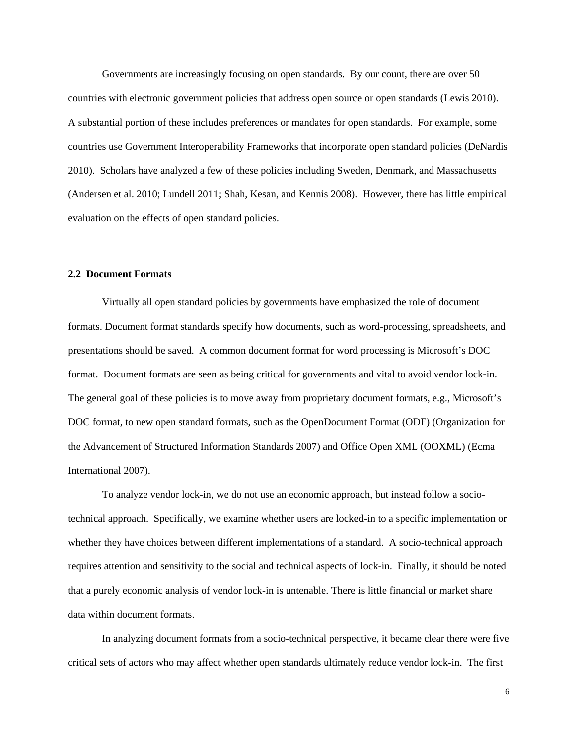Governments are increasingly focusing on open standards. By our count, there are over 50 countries with electronic government policies that address open source or open standards (Lewis 2010). A substantial portion of these includes preferences or mandates for open standards. For example, some countries use Government Interoperability Frameworks that incorporate open standard policies (DeNardis 2010). Scholars have analyzed a few of these policies including Sweden, Denmark, and Massachusetts (Andersen et al. 2010; Lundell 2011; Shah, Kesan, and Kennis 2008). However, there has little empirical evaluation on the effects of open standard policies.

## **2.2 Document Formats**

 Virtually all open standard policies by governments have emphasized the role of document formats. Document format standards specify how documents, such as word-processing, spreadsheets, and presentations should be saved. A common document format for word processing is Microsoft's DOC format. Document formats are seen as being critical for governments and vital to avoid vendor lock-in. The general goal of these policies is to move away from proprietary document formats, e.g., Microsoft's DOC format, to new open standard formats, such as the OpenDocument Format (ODF) (Organization for the Advancement of Structured Information Standards 2007) and Office Open XML (OOXML) (Ecma International 2007).

To analyze vendor lock-in, we do not use an economic approach, but instead follow a sociotechnical approach. Specifically, we examine whether users are locked-in to a specific implementation or whether they have choices between different implementations of a standard. A socio-technical approach requires attention and sensitivity to the social and technical aspects of lock-in. Finally, it should be noted that a purely economic analysis of vendor lock-in is untenable. There is little financial or market share data within document formats.

In analyzing document formats from a socio-technical perspective, it became clear there were five critical sets of actors who may affect whether open standards ultimately reduce vendor lock-in. The first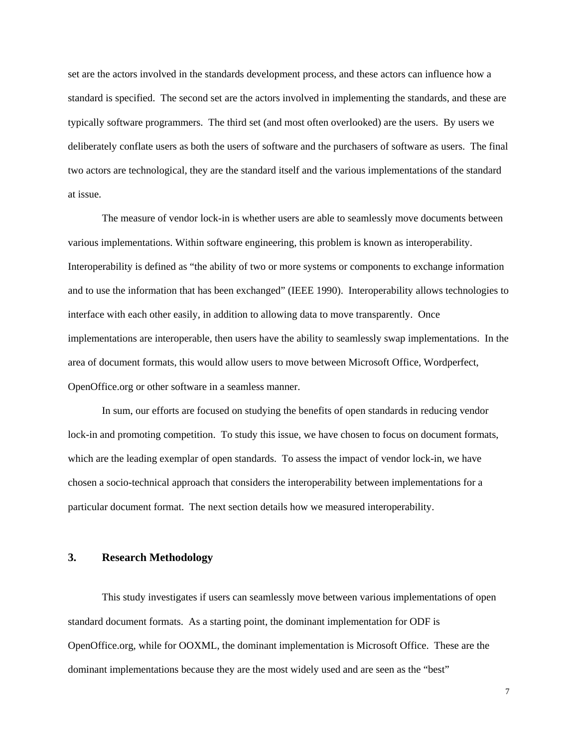set are the actors involved in the standards development process, and these actors can influence how a standard is specified. The second set are the actors involved in implementing the standards, and these are typically software programmers. The third set (and most often overlooked) are the users. By users we deliberately conflate users as both the users of software and the purchasers of software as users. The final two actors are technological, they are the standard itself and the various implementations of the standard at issue.

The measure of vendor lock-in is whether users are able to seamlessly move documents between various implementations. Within software engineering, this problem is known as interoperability. Interoperability is defined as "the ability of two or more systems or components to exchange information and to use the information that has been exchanged" (IEEE 1990). Interoperability allows technologies to interface with each other easily, in addition to allowing data to move transparently. Once implementations are interoperable, then users have the ability to seamlessly swap implementations. In the area of document formats, this would allow users to move between Microsoft Office, Wordperfect, OpenOffice.org or other software in a seamless manner.

In sum, our efforts are focused on studying the benefits of open standards in reducing vendor lock-in and promoting competition. To study this issue, we have chosen to focus on document formats, which are the leading exemplar of open standards. To assess the impact of vendor lock-in, we have chosen a socio-technical approach that considers the interoperability between implementations for a particular document format. The next section details how we measured interoperability.

## **3. Research Methodology**

This study investigates if users can seamlessly move between various implementations of open standard document formats. As a starting point, the dominant implementation for ODF is OpenOffice.org, while for OOXML, the dominant implementation is Microsoft Office. These are the dominant implementations because they are the most widely used and are seen as the "best"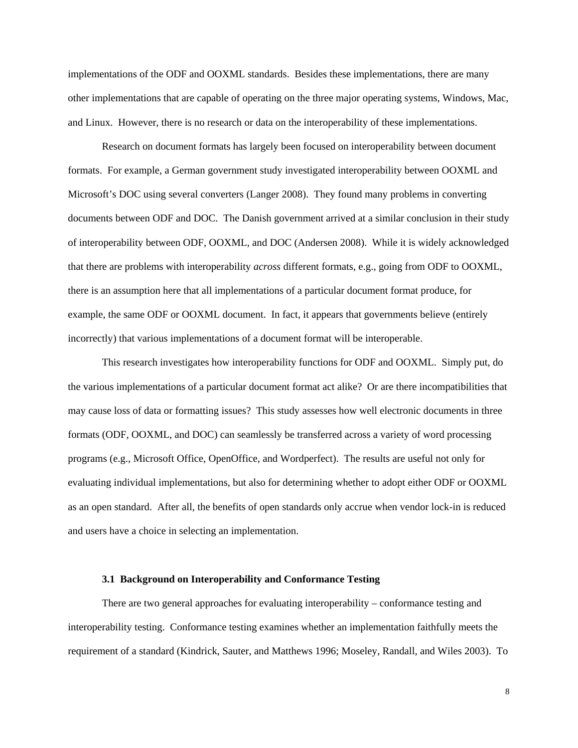implementations of the ODF and OOXML standards. Besides these implementations, there are many other implementations that are capable of operating on the three major operating systems, Windows, Mac, and Linux. However, there is no research or data on the interoperability of these implementations.

Research on document formats has largely been focused on interoperability between document formats. For example, a German government study investigated interoperability between OOXML and Microsoft's DOC using several converters (Langer 2008). They found many problems in converting documents between ODF and DOC. The Danish government arrived at a similar conclusion in their study of interoperability between ODF, OOXML, and DOC (Andersen 2008). While it is widely acknowledged that there are problems with interoperability *across* different formats, e.g., going from ODF to OOXML, there is an assumption here that all implementations of a particular document format produce, for example, the same ODF or OOXML document. In fact, it appears that governments believe (entirely incorrectly) that various implementations of a document format will be interoperable.

This research investigates how interoperability functions for ODF and OOXML. Simply put, do the various implementations of a particular document format act alike? Or are there incompatibilities that may cause loss of data or formatting issues? This study assesses how well electronic documents in three formats (ODF, OOXML, and DOC) can seamlessly be transferred across a variety of word processing programs (e.g., Microsoft Office, OpenOffice, and Wordperfect). The results are useful not only for evaluating individual implementations, but also for determining whether to adopt either ODF or OOXML as an open standard. After all, the benefits of open standards only accrue when vendor lock-in is reduced and users have a choice in selecting an implementation.

## **3.1 Background on Interoperability and Conformance Testing**

There are two general approaches for evaluating interoperability – conformance testing and interoperability testing. Conformance testing examines whether an implementation faithfully meets the requirement of a standard (Kindrick, Sauter, and Matthews 1996; Moseley, Randall, and Wiles 2003). To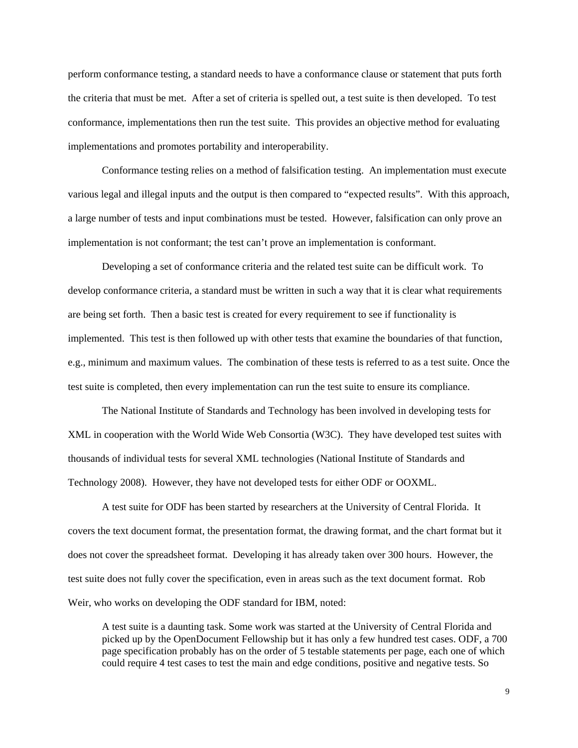perform conformance testing, a standard needs to have a conformance clause or statement that puts forth the criteria that must be met. After a set of criteria is spelled out, a test suite is then developed. To test conformance, implementations then run the test suite. This provides an objective method for evaluating implementations and promotes portability and interoperability.

Conformance testing relies on a method of falsification testing. An implementation must execute various legal and illegal inputs and the output is then compared to "expected results". With this approach, a large number of tests and input combinations must be tested. However, falsification can only prove an implementation is not conformant; the test can't prove an implementation is conformant.

Developing a set of conformance criteria and the related test suite can be difficult work. To develop conformance criteria, a standard must be written in such a way that it is clear what requirements are being set forth. Then a basic test is created for every requirement to see if functionality is implemented. This test is then followed up with other tests that examine the boundaries of that function, e.g., minimum and maximum values. The combination of these tests is referred to as a test suite. Once the test suite is completed, then every implementation can run the test suite to ensure its compliance.

The National Institute of Standards and Technology has been involved in developing tests for XML in cooperation with the World Wide Web Consortia (W3C). They have developed test suites with thousands of individual tests for several XML technologies (National Institute of Standards and Technology 2008). However, they have not developed tests for either ODF or OOXML.

A test suite for ODF has been started by researchers at the University of Central Florida. It covers the text document format, the presentation format, the drawing format, and the chart format but it does not cover the spreadsheet format. Developing it has already taken over 300 hours. However, the test suite does not fully cover the specification, even in areas such as the text document format. Rob Weir, who works on developing the ODF standard for IBM, noted:

A test suite is a daunting task. Some work was started at the University of Central Florida and picked up by the OpenDocument Fellowship but it has only a few hundred test cases. ODF, a 700 page specification probably has on the order of 5 testable statements per page, each one of which could require 4 test cases to test the main and edge conditions, positive and negative tests. So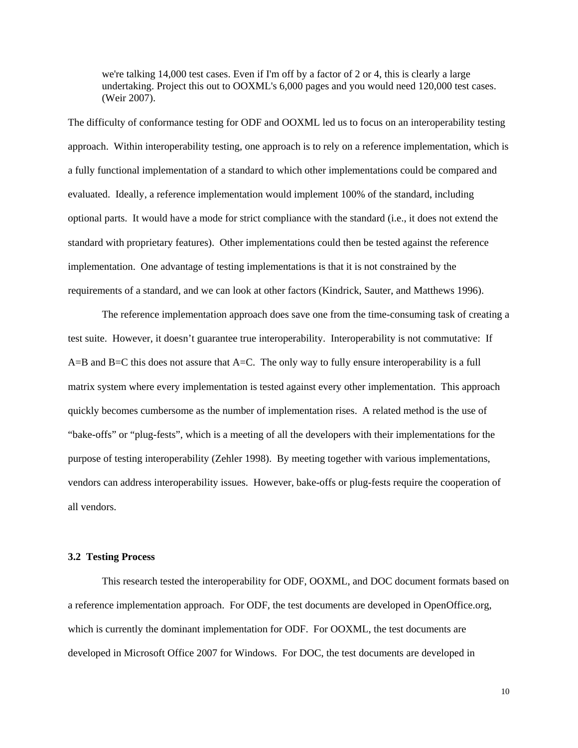we're talking 14,000 test cases. Even if I'm off by a factor of 2 or 4, this is clearly a large undertaking. Project this out to OOXML's 6,000 pages and you would need 120,000 test cases. (Weir 2007).

The difficulty of conformance testing for ODF and OOXML led us to focus on an interoperability testing approach. Within interoperability testing, one approach is to rely on a reference implementation, which is a fully functional implementation of a standard to which other implementations could be compared and evaluated. Ideally, a reference implementation would implement 100% of the standard, including optional parts. It would have a mode for strict compliance with the standard (i.e., it does not extend the standard with proprietary features). Other implementations could then be tested against the reference implementation. One advantage of testing implementations is that it is not constrained by the requirements of a standard, and we can look at other factors (Kindrick, Sauter, and Matthews 1996).

The reference implementation approach does save one from the time-consuming task of creating a test suite. However, it doesn't guarantee true interoperability. Interoperability is not commutative: If A=B and B=C this does not assure that A=C. The only way to fully ensure interoperability is a full matrix system where every implementation is tested against every other implementation. This approach quickly becomes cumbersome as the number of implementation rises. A related method is the use of "bake-offs" or "plug-fests", which is a meeting of all the developers with their implementations for the purpose of testing interoperability (Zehler 1998). By meeting together with various implementations, vendors can address interoperability issues. However, bake-offs or plug-fests require the cooperation of all vendors.

## **3.2 Testing Process**

This research tested the interoperability for ODF, OOXML, and DOC document formats based on a reference implementation approach. For ODF, the test documents are developed in OpenOffice.org, which is currently the dominant implementation for ODF. For OOXML, the test documents are developed in Microsoft Office 2007 for Windows. For DOC, the test documents are developed in

10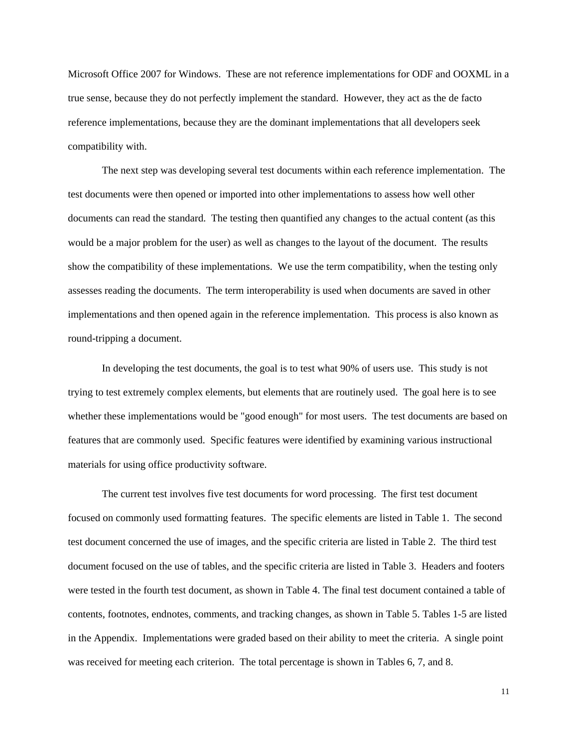Microsoft Office 2007 for Windows. These are not reference implementations for ODF and OOXML in a true sense, because they do not perfectly implement the standard. However, they act as the de facto reference implementations, because they are the dominant implementations that all developers seek compatibility with.

The next step was developing several test documents within each reference implementation. The test documents were then opened or imported into other implementations to assess how well other documents can read the standard. The testing then quantified any changes to the actual content (as this would be a major problem for the user) as well as changes to the layout of the document. The results show the compatibility of these implementations. We use the term compatibility, when the testing only assesses reading the documents. The term interoperability is used when documents are saved in other implementations and then opened again in the reference implementation. This process is also known as round-tripping a document.

In developing the test documents, the goal is to test what 90% of users use. This study is not trying to test extremely complex elements, but elements that are routinely used. The goal here is to see whether these implementations would be "good enough" for most users. The test documents are based on features that are commonly used. Specific features were identified by examining various instructional materials for using office productivity software.

The current test involves five test documents for word processing. The first test document focused on commonly used formatting features. The specific elements are listed in Table 1. The second test document concerned the use of images, and the specific criteria are listed in Table 2. The third test document focused on the use of tables, and the specific criteria are listed in Table 3. Headers and footers were tested in the fourth test document, as shown in Table 4. The final test document contained a table of contents, footnotes, endnotes, comments, and tracking changes, as shown in Table 5. Tables 1-5 are listed in the Appendix. Implementations were graded based on their ability to meet the criteria. A single point was received for meeting each criterion. The total percentage is shown in Tables 6, 7, and 8.

11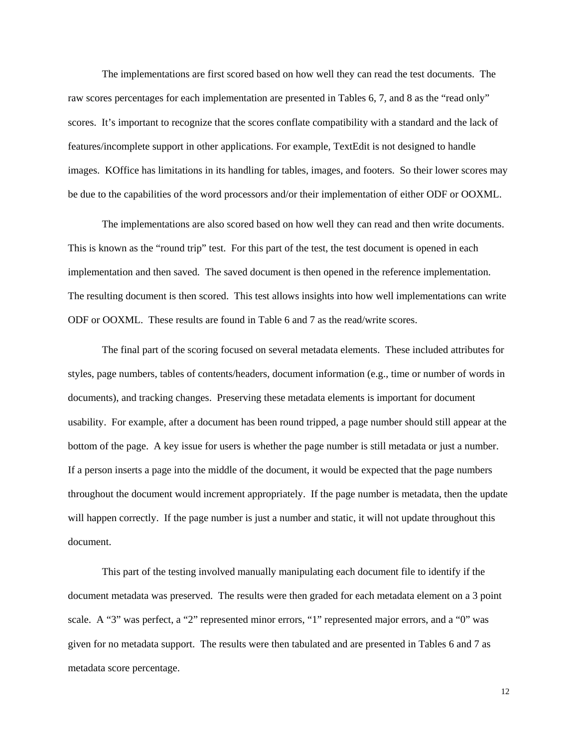The implementations are first scored based on how well they can read the test documents. The raw scores percentages for each implementation are presented in Tables 6, 7, and 8 as the "read only" scores. It's important to recognize that the scores conflate compatibility with a standard and the lack of features/incomplete support in other applications. For example, TextEdit is not designed to handle images. KOffice has limitations in its handling for tables, images, and footers. So their lower scores may be due to the capabilities of the word processors and/or their implementation of either ODF or OOXML.

The implementations are also scored based on how well they can read and then write documents. This is known as the "round trip" test. For this part of the test, the test document is opened in each implementation and then saved. The saved document is then opened in the reference implementation. The resulting document is then scored. This test allows insights into how well implementations can write ODF or OOXML. These results are found in Table 6 and 7 as the read/write scores.

The final part of the scoring focused on several metadata elements. These included attributes for styles, page numbers, tables of contents/headers, document information (e.g., time or number of words in documents), and tracking changes. Preserving these metadata elements is important for document usability. For example, after a document has been round tripped, a page number should still appear at the bottom of the page. A key issue for users is whether the page number is still metadata or just a number. If a person inserts a page into the middle of the document, it would be expected that the page numbers throughout the document would increment appropriately. If the page number is metadata, then the update will happen correctly. If the page number is just a number and static, it will not update throughout this document.

This part of the testing involved manually manipulating each document file to identify if the document metadata was preserved. The results were then graded for each metadata element on a 3 point scale. A "3" was perfect, a "2" represented minor errors, "1" represented major errors, and a "0" was given for no metadata support. The results were then tabulated and are presented in Tables 6 and 7 as metadata score percentage.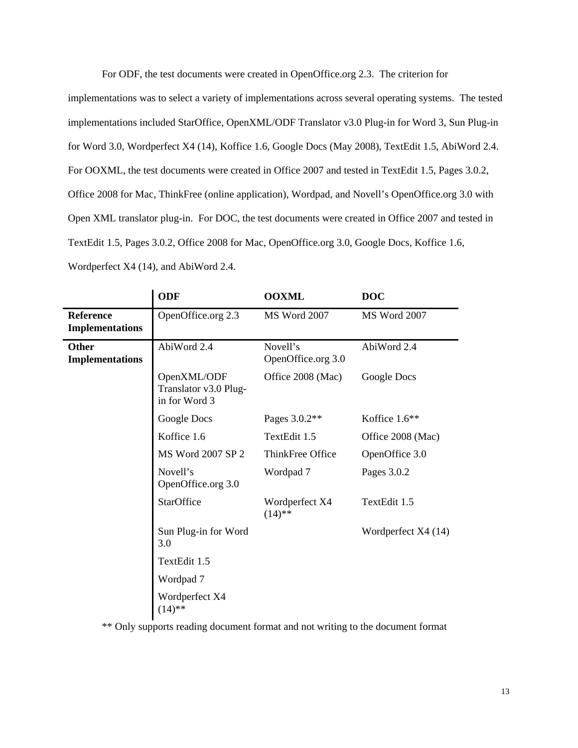For ODF, the test documents were created in OpenOffice.org 2.3. The criterion for

implementations was to select a variety of implementations across several operating systems. The tested implementations included StarOffice, OpenXML/ODF Translator v3.0 Plug-in for Word 3, Sun Plug-in for Word 3.0, Wordperfect X4 (14), Koffice 1.6, Google Docs (May 2008), TextEdit 1.5, AbiWord 2.4. For OOXML, the test documents were created in Office 2007 and tested in TextEdit 1.5, Pages 3.0.2, Office 2008 for Mac, ThinkFree (online application), Wordpad, and Novell's OpenOffice.org 3.0 with Open XML translator plug-in. For DOC, the test documents were created in Office 2007 and tested in TextEdit 1.5, Pages 3.0.2, Office 2008 for Mac, OpenOffice.org 3.0, Google Docs, Koffice 1.6, Wordperfect X4 (14), and AbiWord 2.4.

|                                            | <b>ODF</b>                                            | <b>OOXML</b>                   | <b>DOC</b>          |
|--------------------------------------------|-------------------------------------------------------|--------------------------------|---------------------|
| <b>Reference</b><br><b>Implementations</b> | OpenOffice.org 2.3                                    | <b>MS Word 2007</b>            | MS Word 2007        |
| <b>Other</b><br><b>Implementations</b>     | AbiWord 2.4                                           | Novell's<br>OpenOffice.org 3.0 | AbiWord 2.4         |
|                                            | OpenXML/ODF<br>Translator v3.0 Plug-<br>in for Word 3 | Office 2008 (Mac)              | Google Docs         |
|                                            | Google Docs                                           | Pages 3.0.2**                  | Koffice $1.6**$     |
|                                            | Koffice 1.6                                           | TextEdit 1.5                   | Office 2008 (Mac)   |
|                                            | MS Word 2007 SP 2                                     | ThinkFree Office               | OpenOffice 3.0      |
|                                            | Novell's<br>OpenOffice.org 3.0                        | Wordpad 7                      | Pages 3.0.2         |
|                                            | <b>StarOffice</b>                                     | Wordperfect X4<br>$(14)$ **    | TextEdit 1.5        |
|                                            | Sun Plug-in for Word<br>3.0                           |                                | Wordperfect X4 (14) |
|                                            | TextEdit 1.5                                          |                                |                     |
|                                            | Wordpad 7                                             |                                |                     |
|                                            | Wordperfect X4<br>$(14)$ **                           |                                |                     |

\*\* Only supports reading document format and not writing to the document format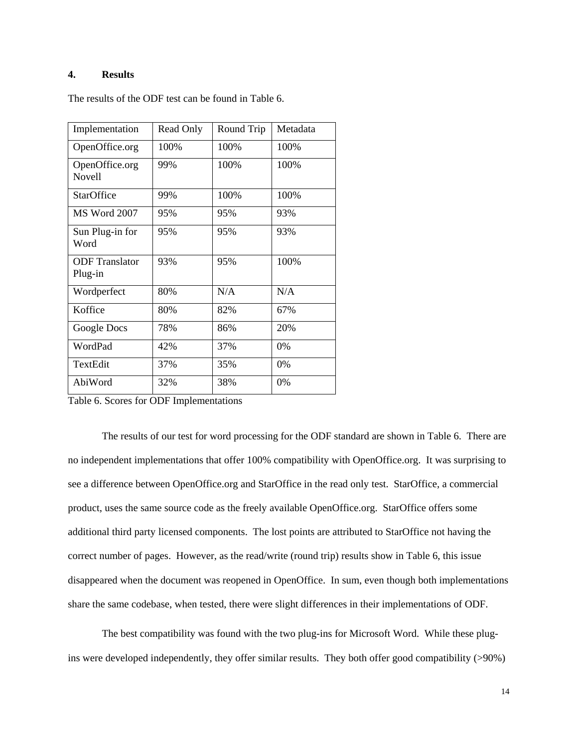## **4. Results**

| Implementation                   | Read Only | Round Trip | Metadata |
|----------------------------------|-----------|------------|----------|
| OpenOffice.org                   | 100%      | 100%       | 100%     |
| OpenOffice.org<br><b>Novell</b>  | 99%       | 100%       | 100%     |
| <b>StarOffice</b>                | 99%       | 100%       | 100%     |
| <b>MS Word 2007</b>              | 95%       | 95%        | 93%      |
| Sun Plug-in for<br>Word          | 95%       | 95%        | 93%      |
| <b>ODF</b> Translator<br>Plug-in | 93%       | 95%        | 100\%    |
| Wordperfect                      | 80%       | N/A        | N/A      |
| Koffice                          | 80%       | 82%        | 67%      |
| Google Docs                      | 78%       | 86%        | 20%      |
| WordPad                          | 42%       | 37%        | $0\%$    |
| TextEdit                         | 37%       | 35%        | 0%       |
| AbiWord                          | 32%       | 38%        | 0%       |

The results of the ODF test can be found in Table 6.

Table 6. Scores for ODF Implementations

The results of our test for word processing for the ODF standard are shown in Table 6. There are no independent implementations that offer 100% compatibility with OpenOffice.org. It was surprising to see a difference between OpenOffice.org and StarOffice in the read only test. StarOffice, a commercial product, uses the same source code as the freely available OpenOffice.org. StarOffice offers some additional third party licensed components. The lost points are attributed to StarOffice not having the correct number of pages. However, as the read/write (round trip) results show in Table 6, this issue disappeared when the document was reopened in OpenOffice. In sum, even though both implementations share the same codebase, when tested, there were slight differences in their implementations of ODF.

The best compatibility was found with the two plug-ins for Microsoft Word. While these plugins were developed independently, they offer similar results. They both offer good compatibility (>90%)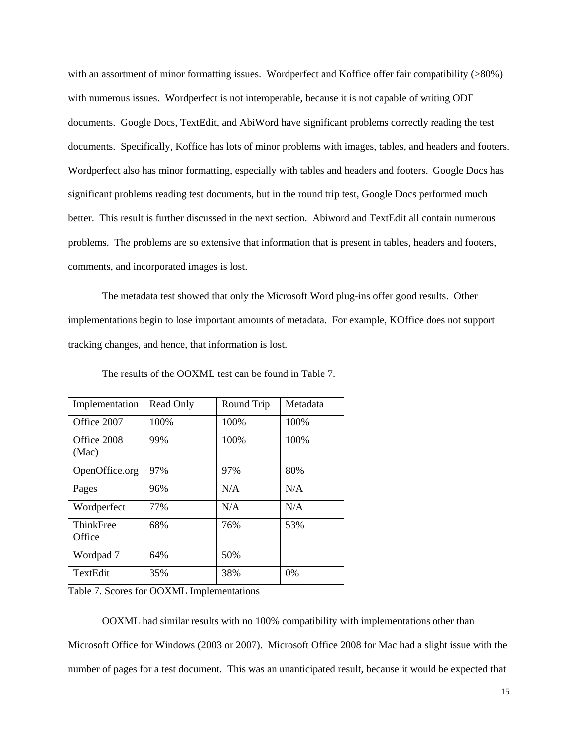with an assortment of minor formatting issues. Wordperfect and Koffice offer fair compatibility (>80%) with numerous issues. Wordperfect is not interoperable, because it is not capable of writing ODF documents. Google Docs, TextEdit, and AbiWord have significant problems correctly reading the test documents. Specifically, Koffice has lots of minor problems with images, tables, and headers and footers. Wordperfect also has minor formatting, especially with tables and headers and footers. Google Docs has significant problems reading test documents, but in the round trip test, Google Docs performed much better. This result is further discussed in the next section. Abiword and TextEdit all contain numerous problems. The problems are so extensive that information that is present in tables, headers and footers, comments, and incorporated images is lost.

The metadata test showed that only the Microsoft Word plug-ins offer good results. Other implementations begin to lose important amounts of metadata. For example, KOffice does not support tracking changes, and hence, that information is lost.

| Implementation       | Read Only | Round Trip | Metadata |
|----------------------|-----------|------------|----------|
| Office 2007          | 100%      | 100%       | 100\%    |
| Office 2008<br>(Mac) | 99%       | 100%       | 100%     |
| OpenOffice.org       | 97%       | 97%        | 80%      |
| Pages                | 96%       | N/A        | N/A      |
| Wordperfect          | 77%       | N/A        | N/A      |
| ThinkFree<br>Office  | 68%       | 76%        | 53%      |
| Wordpad 7            | 64%       | 50%        |          |
| TextEdit             | 35%       | 38%        | 0%       |

The results of the OOXML test can be found in Table 7.

Table 7. Scores for OOXML Implementations

OOXML had similar results with no 100% compatibility with implementations other than

Microsoft Office for Windows (2003 or 2007). Microsoft Office 2008 for Mac had a slight issue with the number of pages for a test document. This was an unanticipated result, because it would be expected that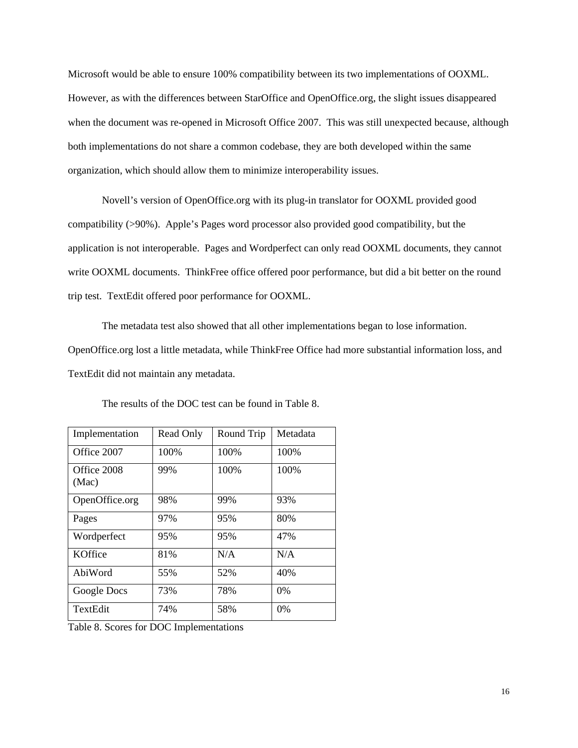Microsoft would be able to ensure 100% compatibility between its two implementations of OOXML. However, as with the differences between StarOffice and OpenOffice.org, the slight issues disappeared when the document was re-opened in Microsoft Office 2007. This was still unexpected because, although both implementations do not share a common codebase, they are both developed within the same organization, which should allow them to minimize interoperability issues.

Novell's version of OpenOffice.org with its plug-in translator for OOXML provided good compatibility (>90%). Apple's Pages word processor also provided good compatibility, but the application is not interoperable. Pages and Wordperfect can only read OOXML documents, they cannot write OOXML documents. ThinkFree office offered poor performance, but did a bit better on the round trip test. TextEdit offered poor performance for OOXML.

The metadata test also showed that all other implementations began to lose information. OpenOffice.org lost a little metadata, while ThinkFree Office had more substantial information loss, and TextEdit did not maintain any metadata.

| Implementation       | Read Only | Round Trip | Metadata |
|----------------------|-----------|------------|----------|
| Office 2007          | 100%      | 100\%      | 100\%    |
| Office 2008<br>(Mac) | 99%       | 100%       | 100%     |
| OpenOffice.org       | 98%       | 99%        | 93%      |
| Pages                | 97%       | 95%        | 80%      |
| Wordperfect          | 95%       | 95%        | 47%      |
| KOffice              | 81%       | N/A        | N/A      |
| AbiWord              | 55%       | 52%        | 40%      |
| Google Docs          | 73%       | 78%        | $0\%$    |
| TextEdit             | 74%       | 58%        | 0%       |

The results of the DOC test can be found in Table 8.

Table 8. Scores for DOC Implementations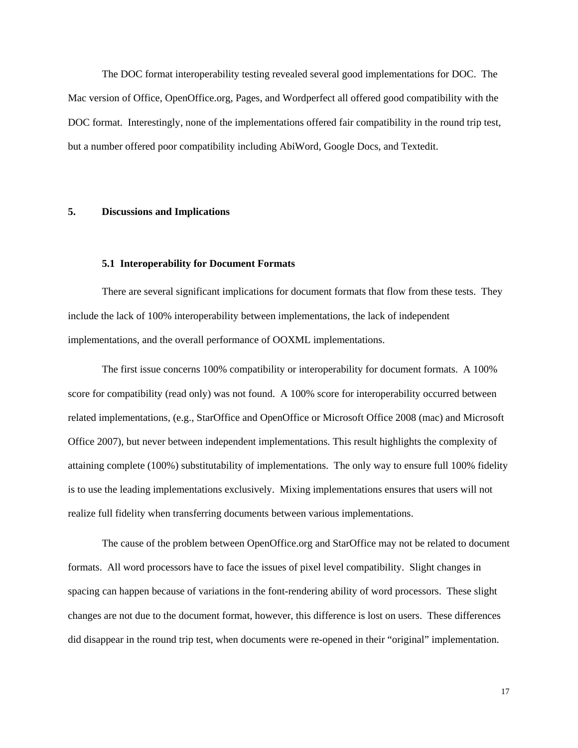The DOC format interoperability testing revealed several good implementations for DOC. The Mac version of Office, OpenOffice.org, Pages, and Wordperfect all offered good compatibility with the DOC format. Interestingly, none of the implementations offered fair compatibility in the round trip test, but a number offered poor compatibility including AbiWord, Google Docs, and Textedit.

### **5. Discussions and Implications**

#### **5.1 Interoperability for Document Formats**

There are several significant implications for document formats that flow from these tests. They include the lack of 100% interoperability between implementations, the lack of independent implementations, and the overall performance of OOXML implementations.

The first issue concerns 100% compatibility or interoperability for document formats. A 100% score for compatibility (read only) was not found. A 100% score for interoperability occurred between related implementations, (e.g., StarOffice and OpenOffice or Microsoft Office 2008 (mac) and Microsoft Office 2007), but never between independent implementations. This result highlights the complexity of attaining complete (100%) substitutability of implementations. The only way to ensure full 100% fidelity is to use the leading implementations exclusively. Mixing implementations ensures that users will not realize full fidelity when transferring documents between various implementations.

The cause of the problem between OpenOffice.org and StarOffice may not be related to document formats. All word processors have to face the issues of pixel level compatibility. Slight changes in spacing can happen because of variations in the font-rendering ability of word processors. These slight changes are not due to the document format, however, this difference is lost on users. These differences did disappear in the round trip test, when documents were re-opened in their "original" implementation.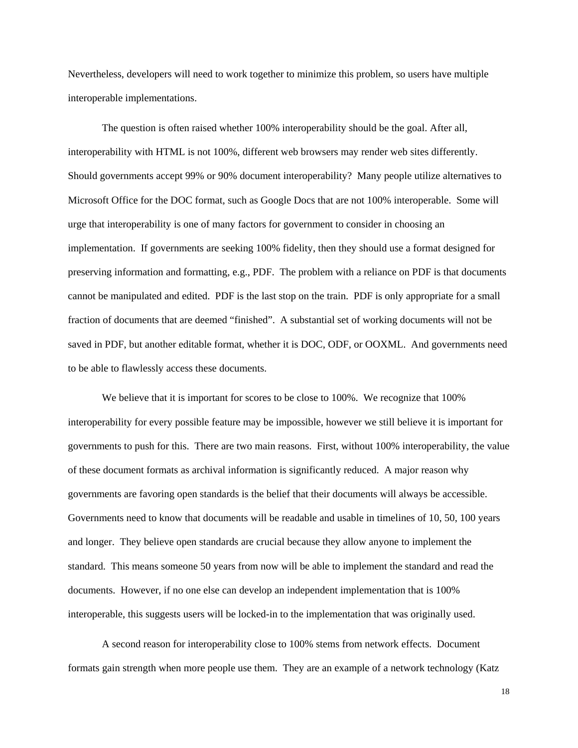Nevertheless, developers will need to work together to minimize this problem, so users have multiple interoperable implementations.

The question is often raised whether 100% interoperability should be the goal. After all, interoperability with HTML is not 100%, different web browsers may render web sites differently. Should governments accept 99% or 90% document interoperability? Many people utilize alternatives to Microsoft Office for the DOC format, such as Google Docs that are not 100% interoperable. Some will urge that interoperability is one of many factors for government to consider in choosing an implementation. If governments are seeking 100% fidelity, then they should use a format designed for preserving information and formatting, e.g., PDF. The problem with a reliance on PDF is that documents cannot be manipulated and edited. PDF is the last stop on the train. PDF is only appropriate for a small fraction of documents that are deemed "finished". A substantial set of working documents will not be saved in PDF, but another editable format, whether it is DOC, ODF, or OOXML. And governments need to be able to flawlessly access these documents.

We believe that it is important for scores to be close to 100%. We recognize that 100% interoperability for every possible feature may be impossible, however we still believe it is important for governments to push for this. There are two main reasons. First, without 100% interoperability, the value of these document formats as archival information is significantly reduced. A major reason why governments are favoring open standards is the belief that their documents will always be accessible. Governments need to know that documents will be readable and usable in timelines of 10, 50, 100 years and longer. They believe open standards are crucial because they allow anyone to implement the standard. This means someone 50 years from now will be able to implement the standard and read the documents. However, if no one else can develop an independent implementation that is 100% interoperable, this suggests users will be locked-in to the implementation that was originally used.

A second reason for interoperability close to 100% stems from network effects. Document formats gain strength when more people use them. They are an example of a network technology (Katz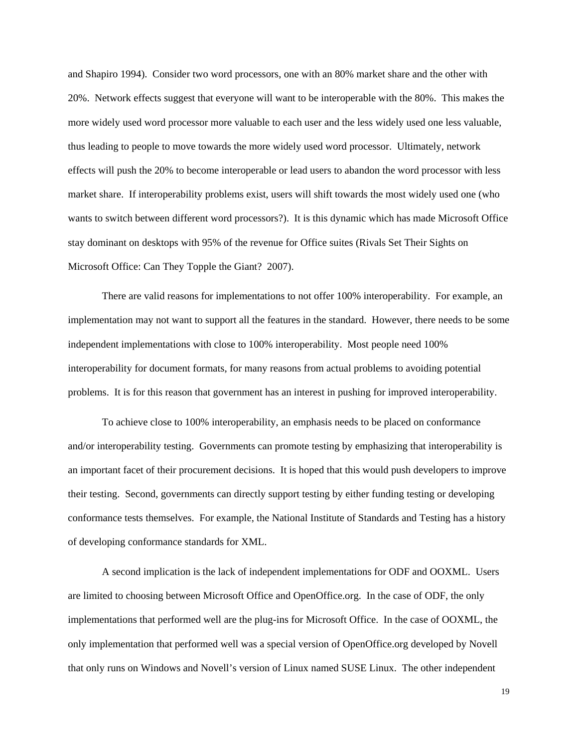and Shapiro 1994). Consider two word processors, one with an 80% market share and the other with 20%. Network effects suggest that everyone will want to be interoperable with the 80%. This makes the more widely used word processor more valuable to each user and the less widely used one less valuable, thus leading to people to move towards the more widely used word processor. Ultimately, network effects will push the 20% to become interoperable or lead users to abandon the word processor with less market share. If interoperability problems exist, users will shift towards the most widely used one (who wants to switch between different word processors?). It is this dynamic which has made Microsoft Office stay dominant on desktops with 95% of the revenue for Office suites (Rivals Set Their Sights on Microsoft Office: Can They Topple the Giant? 2007).

There are valid reasons for implementations to not offer 100% interoperability. For example, an implementation may not want to support all the features in the standard. However, there needs to be some independent implementations with close to 100% interoperability. Most people need 100% interoperability for document formats, for many reasons from actual problems to avoiding potential problems. It is for this reason that government has an interest in pushing for improved interoperability.

To achieve close to 100% interoperability, an emphasis needs to be placed on conformance and/or interoperability testing. Governments can promote testing by emphasizing that interoperability is an important facet of their procurement decisions. It is hoped that this would push developers to improve their testing. Second, governments can directly support testing by either funding testing or developing conformance tests themselves. For example, the National Institute of Standards and Testing has a history of developing conformance standards for XML.

A second implication is the lack of independent implementations for ODF and OOXML. Users are limited to choosing between Microsoft Office and OpenOffice.org. In the case of ODF, the only implementations that performed well are the plug-ins for Microsoft Office. In the case of OOXML, the only implementation that performed well was a special version of OpenOffice.org developed by Novell that only runs on Windows and Novell's version of Linux named SUSE Linux. The other independent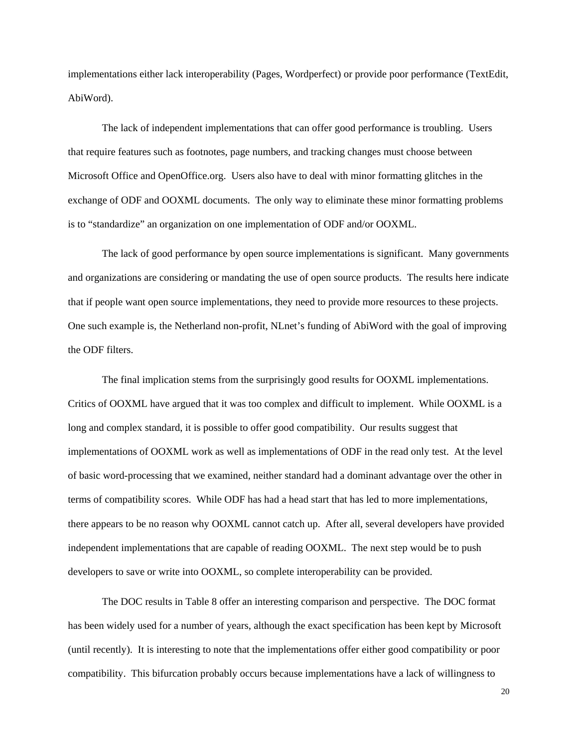implementations either lack interoperability (Pages, Wordperfect) or provide poor performance (TextEdit, AbiWord).

The lack of independent implementations that can offer good performance is troubling. Users that require features such as footnotes, page numbers, and tracking changes must choose between Microsoft Office and OpenOffice.org. Users also have to deal with minor formatting glitches in the exchange of ODF and OOXML documents. The only way to eliminate these minor formatting problems is to "standardize" an organization on one implementation of ODF and/or OOXML.

The lack of good performance by open source implementations is significant. Many governments and organizations are considering or mandating the use of open source products. The results here indicate that if people want open source implementations, they need to provide more resources to these projects. One such example is, the Netherland non-profit, NLnet's funding of AbiWord with the goal of improving the ODF filters.

The final implication stems from the surprisingly good results for OOXML implementations. Critics of OOXML have argued that it was too complex and difficult to implement. While OOXML is a long and complex standard, it is possible to offer good compatibility. Our results suggest that implementations of OOXML work as well as implementations of ODF in the read only test. At the level of basic word-processing that we examined, neither standard had a dominant advantage over the other in terms of compatibility scores. While ODF has had a head start that has led to more implementations, there appears to be no reason why OOXML cannot catch up. After all, several developers have provided independent implementations that are capable of reading OOXML. The next step would be to push developers to save or write into OOXML, so complete interoperability can be provided.

The DOC results in Table 8 offer an interesting comparison and perspective. The DOC format has been widely used for a number of years, although the exact specification has been kept by Microsoft (until recently). It is interesting to note that the implementations offer either good compatibility or poor compatibility. This bifurcation probably occurs because implementations have a lack of willingness to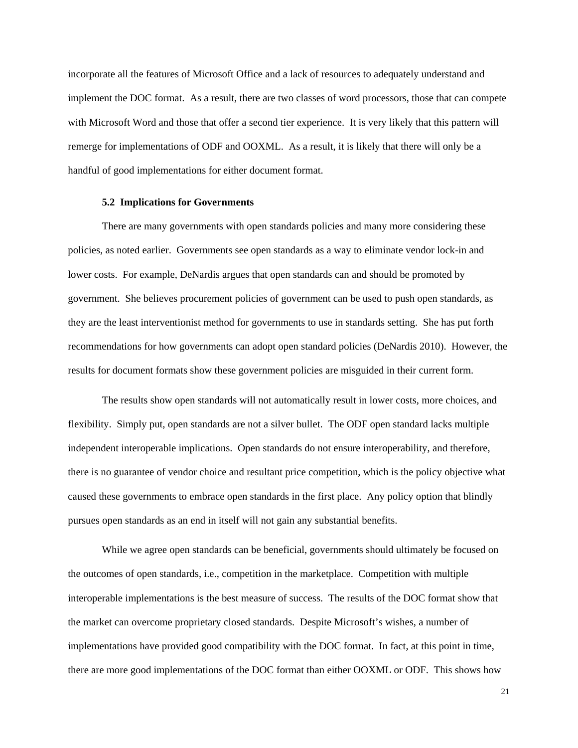incorporate all the features of Microsoft Office and a lack of resources to adequately understand and implement the DOC format. As a result, there are two classes of word processors, those that can compete with Microsoft Word and those that offer a second tier experience. It is very likely that this pattern will remerge for implementations of ODF and OOXML. As a result, it is likely that there will only be a handful of good implementations for either document format.

## **5.2 Implications for Governments**

There are many governments with open standards policies and many more considering these policies, as noted earlier. Governments see open standards as a way to eliminate vendor lock-in and lower costs. For example, DeNardis argues that open standards can and should be promoted by government. She believes procurement policies of government can be used to push open standards, as they are the least interventionist method for governments to use in standards setting. She has put forth recommendations for how governments can adopt open standard policies (DeNardis 2010). However, the results for document formats show these government policies are misguided in their current form.

The results show open standards will not automatically result in lower costs, more choices, and flexibility. Simply put, open standards are not a silver bullet. The ODF open standard lacks multiple independent interoperable implications. Open standards do not ensure interoperability, and therefore, there is no guarantee of vendor choice and resultant price competition, which is the policy objective what caused these governments to embrace open standards in the first place. Any policy option that blindly pursues open standards as an end in itself will not gain any substantial benefits.

While we agree open standards can be beneficial, governments should ultimately be focused on the outcomes of open standards, i.e., competition in the marketplace. Competition with multiple interoperable implementations is the best measure of success. The results of the DOC format show that the market can overcome proprietary closed standards. Despite Microsoft's wishes, a number of implementations have provided good compatibility with the DOC format. In fact, at this point in time, there are more good implementations of the DOC format than either OOXML or ODF. This shows how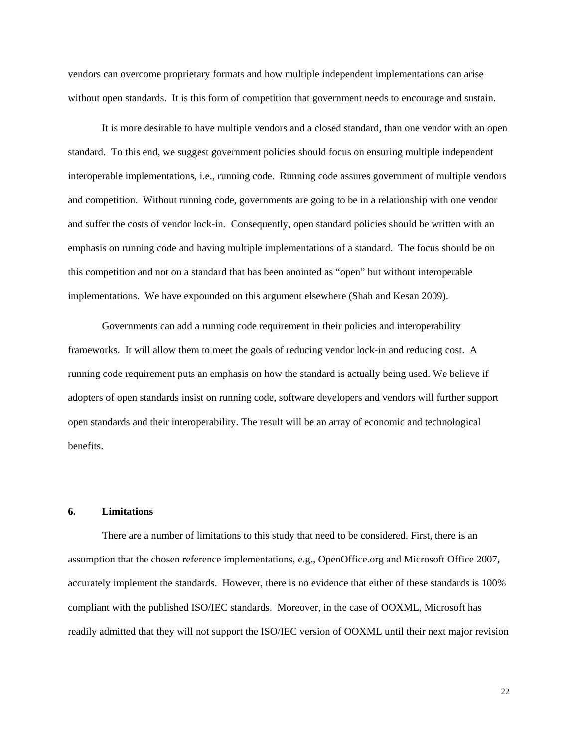vendors can overcome proprietary formats and how multiple independent implementations can arise without open standards. It is this form of competition that government needs to encourage and sustain.

It is more desirable to have multiple vendors and a closed standard, than one vendor with an open standard. To this end, we suggest government policies should focus on ensuring multiple independent interoperable implementations, i.e., running code. Running code assures government of multiple vendors and competition. Without running code, governments are going to be in a relationship with one vendor and suffer the costs of vendor lock-in. Consequently, open standard policies should be written with an emphasis on running code and having multiple implementations of a standard. The focus should be on this competition and not on a standard that has been anointed as "open" but without interoperable implementations. We have expounded on this argument elsewhere (Shah and Kesan 2009).

Governments can add a running code requirement in their policies and interoperability frameworks. It will allow them to meet the goals of reducing vendor lock-in and reducing cost. A running code requirement puts an emphasis on how the standard is actually being used. We believe if adopters of open standards insist on running code, software developers and vendors will further support open standards and their interoperability. The result will be an array of economic and technological benefits.

## **6. Limitations**

There are a number of limitations to this study that need to be considered. First, there is an assumption that the chosen reference implementations, e.g., OpenOffice.org and Microsoft Office 2007, accurately implement the standards. However, there is no evidence that either of these standards is 100% compliant with the published ISO/IEC standards. Moreover, in the case of OOXML, Microsoft has readily admitted that they will not support the ISO/IEC version of OOXML until their next major revision

22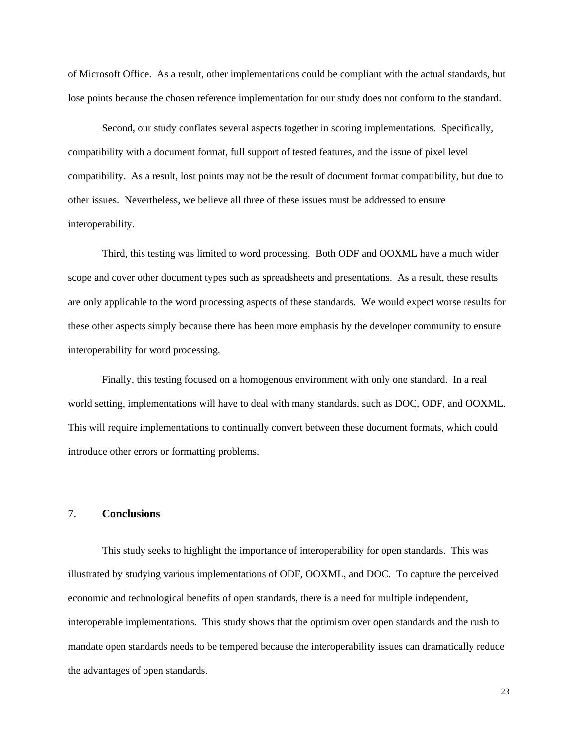of Microsoft Office. As a result, other implementations could be compliant with the actual standards, but lose points because the chosen reference implementation for our study does not conform to the standard.

Second, our study conflates several aspects together in scoring implementations. Specifically, compatibility with a document format, full support of tested features, and the issue of pixel level compatibility. As a result, lost points may not be the result of document format compatibility, but due to other issues. Nevertheless, we believe all three of these issues must be addressed to ensure interoperability.

Third, this testing was limited to word processing. Both ODF and OOXML have a much wider scope and cover other document types such as spreadsheets and presentations. As a result, these results are only applicable to the word processing aspects of these standards. We would expect worse results for these other aspects simply because there has been more emphasis by the developer community to ensure interoperability for word processing.

Finally, this testing focused on a homogenous environment with only one standard. In a real world setting, implementations will have to deal with many standards, such as DOC, ODF, and OOXML. This will require implementations to continually convert between these document formats, which could introduce other errors or formatting problems.

# 7. **Conclusions**

This study seeks to highlight the importance of interoperability for open standards. This was illustrated by studying various implementations of ODF, OOXML, and DOC. To capture the perceived economic and technological benefits of open standards, there is a need for multiple independent, interoperable implementations. This study shows that the optimism over open standards and the rush to mandate open standards needs to be tempered because the interoperability issues can dramatically reduce the advantages of open standards.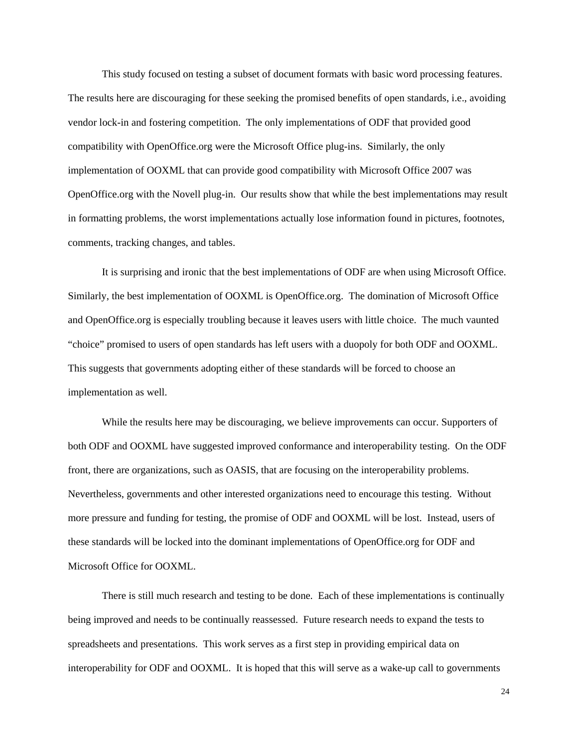This study focused on testing a subset of document formats with basic word processing features. The results here are discouraging for these seeking the promised benefits of open standards, i.e., avoiding vendor lock-in and fostering competition. The only implementations of ODF that provided good compatibility with OpenOffice.org were the Microsoft Office plug-ins. Similarly, the only implementation of OOXML that can provide good compatibility with Microsoft Office 2007 was OpenOffice.org with the Novell plug-in. Our results show that while the best implementations may result in formatting problems, the worst implementations actually lose information found in pictures, footnotes, comments, tracking changes, and tables.

It is surprising and ironic that the best implementations of ODF are when using Microsoft Office. Similarly, the best implementation of OOXML is OpenOffice.org. The domination of Microsoft Office and OpenOffice.org is especially troubling because it leaves users with little choice. The much vaunted "choice" promised to users of open standards has left users with a duopoly for both ODF and OOXML. This suggests that governments adopting either of these standards will be forced to choose an implementation as well.

While the results here may be discouraging, we believe improvements can occur. Supporters of both ODF and OOXML have suggested improved conformance and interoperability testing. On the ODF front, there are organizations, such as OASIS, that are focusing on the interoperability problems. Nevertheless, governments and other interested organizations need to encourage this testing. Without more pressure and funding for testing, the promise of ODF and OOXML will be lost. Instead, users of these standards will be locked into the dominant implementations of OpenOffice.org for ODF and Microsoft Office for OOXML.

There is still much research and testing to be done. Each of these implementations is continually being improved and needs to be continually reassessed. Future research needs to expand the tests to spreadsheets and presentations. This work serves as a first step in providing empirical data on interoperability for ODF and OOXML. It is hoped that this will serve as a wake-up call to governments

24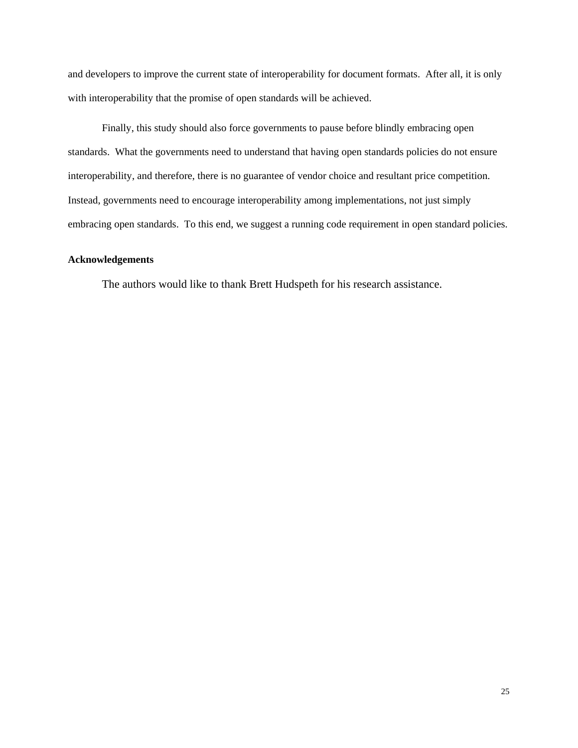and developers to improve the current state of interoperability for document formats. After all, it is only with interoperability that the promise of open standards will be achieved.

Finally, this study should also force governments to pause before blindly embracing open standards. What the governments need to understand that having open standards policies do not ensure interoperability, and therefore, there is no guarantee of vendor choice and resultant price competition. Instead, governments need to encourage interoperability among implementations, not just simply embracing open standards. To this end, we suggest a running code requirement in open standard policies.

# **Acknowledgements**

The authors would like to thank Brett Hudspeth for his research assistance.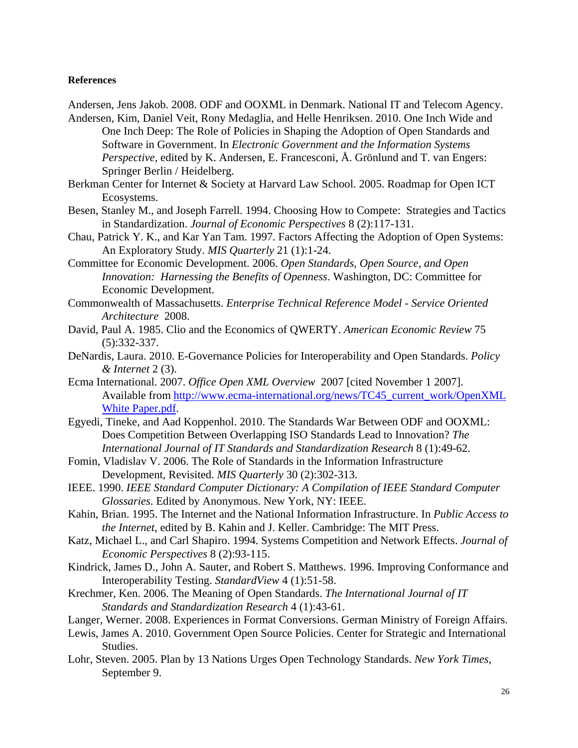## **References**

Andersen, Jens Jakob. 2008. ODF and OOXML in Denmark. National IT and Telecom Agency.

- Andersen, Kim, Daniel Veit, Rony Medaglia, and Helle Henriksen. 2010. One Inch Wide and One Inch Deep: The Role of Policies in Shaping the Adoption of Open Standards and Software in Government. In *Electronic Government and the Information Systems Perspective*, edited by K. Andersen, E. Francesconi, Å. Grönlund and T. van Engers: Springer Berlin / Heidelberg.
- Berkman Center for Internet & Society at Harvard Law School. 2005. Roadmap for Open ICT Ecosystems.
- Besen, Stanley M., and Joseph Farrell. 1994. Choosing How to Compete: Strategies and Tactics in Standardization. *Journal of Economic Perspectives* 8 (2):117-131.
- Chau, Patrick Y. K., and Kar Yan Tam. 1997. Factors Affecting the Adoption of Open Systems: An Exploratory Study. *MIS Quarterly* 21 (1):1-24.
- Committee for Economic Development. 2006. *Open Standards, Open Source, and Open Innovation: Harnessing the Benefits of Openness*. Washington, DC: Committee for Economic Development.
- Commonwealth of Massachusetts. *Enterprise Technical Reference Model Service Oriented Architecture* 2008.
- David, Paul A. 1985. Clio and the Economics of QWERTY. *American Economic Review* 75 (5):332-337.
- DeNardis, Laura. 2010. E-Governance Policies for Interoperability and Open Standards. *Policy & Internet* 2 (3).
- Ecma International. 2007. *Office Open XML Overview* 2007 [cited November 1 2007]. Available from http://www.ecma-international.org/news/TC45\_current\_work/OpenXML White Paper.pdf.
- Egyedi, Tineke, and Aad Koppenhol. 2010. The Standards War Between ODF and OOXML: Does Competition Between Overlapping ISO Standards Lead to Innovation? *The International Journal of IT Standards and Standardization Research* 8 (1):49-62.
- Fomin, Vladislav V. 2006. The Role of Standards in the Information Infrastructure Development, Revisited. *MIS Quarterly* 30 (2):302-313.
- IEEE. 1990. *IEEE Standard Computer Dictionary: A Compilation of IEEE Standard Computer Glossaries*. Edited by Anonymous. New York, NY: IEEE.
- Kahin, Brian. 1995. The Internet and the National Information Infrastructure. In *Public Access to the Internet*, edited by B. Kahin and J. Keller. Cambridge: The MIT Press.
- Katz, Michael L., and Carl Shapiro. 1994. Systems Competition and Network Effects. *Journal of Economic Perspectives* 8 (2):93-115.
- Kindrick, James D., John A. Sauter, and Robert S. Matthews. 1996. Improving Conformance and Interoperability Testing. *StandardView* 4 (1):51-58.
- Krechmer, Ken. 2006. The Meaning of Open Standards. *The International Journal of IT Standards and Standardization Research* 4 (1):43-61.
- Langer, Werner. 2008. Experiences in Format Conversions. German Ministry of Foreign Affairs.
- Lewis, James A. 2010. Government Open Source Policies. Center for Strategic and International Studies.
- Lohr, Steven. 2005. Plan by 13 Nations Urges Open Technology Standards. *New York Times*, September 9.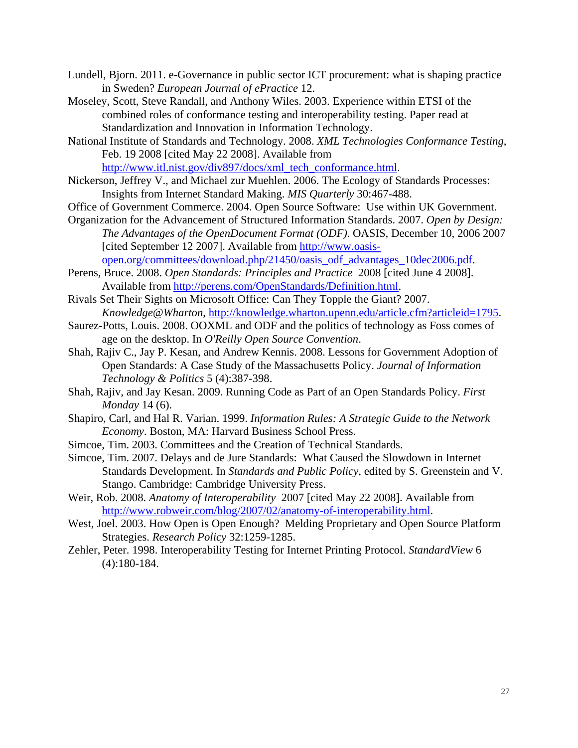- Lundell, Bjorn. 2011. e-Governance in public sector ICT procurement: what is shaping practice in Sweden? *European Journal of ePractice* 12.
- Moseley, Scott, Steve Randall, and Anthony Wiles. 2003. Experience within ETSI of the combined roles of conformance testing and interoperability testing. Paper read at Standardization and Innovation in Information Technology.
- National Institute of Standards and Technology. 2008. *XML Technologies Conformance Testing*, Feb. 19 2008 [cited May 22 2008]. Available from http://www.itl.nist.gov/div897/docs/xml\_tech\_conformance.html.

Nickerson, Jeffrey V., and Michael zur Muehlen. 2006. The Ecology of Standards Processes: Insights from Internet Standard Making. *MIS Quarterly* 30:467-488.

- Office of Government Commerce. 2004. Open Source Software: Use within UK Government.
- Organization for the Advancement of Structured Information Standards. 2007. *Open by Design: The Advantages of the OpenDocument Format (ODF)*. OASIS, December 10, 2006 2007 [cited September 12 2007]. Available from http://www.oasisopen.org/committees/download.php/21450/oasis\_odf\_advantages\_10dec2006.pdf.
- Perens, Bruce. 2008. *Open Standards: Principles and Practice* 2008 [cited June 4 2008]. Available from http://perens.com/OpenStandards/Definition.html.
- Rivals Set Their Sights on Microsoft Office: Can They Topple the Giant? 2007. *Knowledge@Wharton*, http://knowledge.wharton.upenn.edu/article.cfm?articleid=1795.
- Saurez-Potts, Louis. 2008. OOXML and ODF and the politics of technology as Foss comes of age on the desktop. In *O'Reilly Open Source Convention*.
- Shah, Rajiv C., Jay P. Kesan, and Andrew Kennis. 2008. Lessons for Government Adoption of Open Standards: A Case Study of the Massachusetts Policy. *Journal of Information Technology & Politics* 5 (4):387-398.
- Shah, Rajiv, and Jay Kesan. 2009. Running Code as Part of an Open Standards Policy. *First Monday* 14 (6).
- Shapiro, Carl, and Hal R. Varian. 1999. *Information Rules: A Strategic Guide to the Network Economy*. Boston, MA: Harvard Business School Press.
- Simcoe, Tim. 2003. Committees and the Creation of Technical Standards.
- Simcoe, Tim. 2007. Delays and de Jure Standards: What Caused the Slowdown in Internet Standards Development. In *Standards and Public Policy*, edited by S. Greenstein and V. Stango. Cambridge: Cambridge University Press.
- Weir, Rob. 2008. *Anatomy of Interoperability* 2007 [cited May 22 2008]. Available from http://www.robweir.com/blog/2007/02/anatomy-of-interoperability.html.
- West, Joel. 2003. How Open is Open Enough? Melding Proprietary and Open Source Platform Strategies. *Research Policy* 32:1259-1285.
- Zehler, Peter. 1998. Interoperability Testing for Internet Printing Protocol. *StandardView* 6 (4):180-184.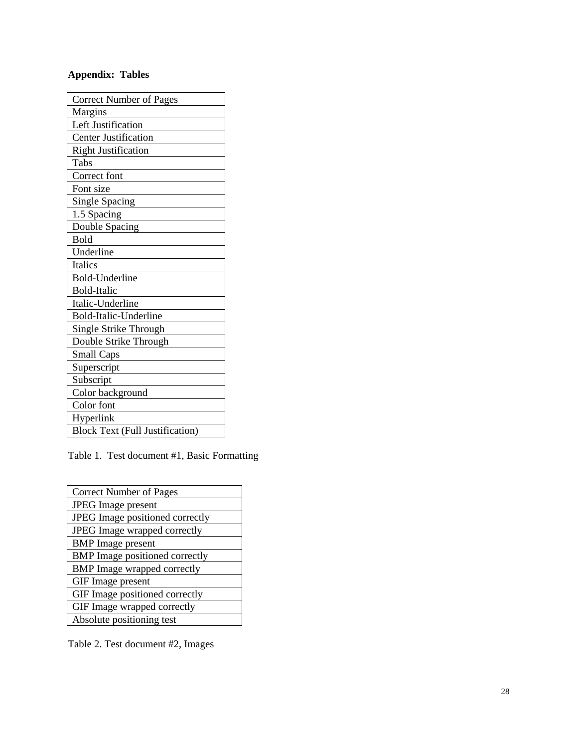# **Appendix: Tables**

| <b>Correct Number of Pages</b>         |
|----------------------------------------|
| Margins                                |
| Left Justification                     |
| <b>Center Justification</b>            |
| <b>Right Justification</b>             |
| Tabs                                   |
| Correct font                           |
| Font size                              |
| <b>Single Spacing</b>                  |
| 1.5 Spacing                            |
| Double Spacing                         |
| Bold                                   |
| Underline                              |
| <b>Italics</b>                         |
| <b>Bold-Underline</b>                  |
| <b>Bold-Italic</b>                     |
| Italic-Underline                       |
| Bold-Italic-Underline                  |
| Single Strike Through                  |
| Double Strike Through                  |
| <b>Small Caps</b>                      |
| Superscript                            |
| Subscript                              |
| Color background                       |
| Color font                             |
| Hyperlink                              |
| <b>Block Text (Full Justification)</b> |

Table 1. Test document #1, Basic Formatting

| <b>Correct Number of Pages</b>        |
|---------------------------------------|
| <b>JPEG</b> Image present             |
| JPEG Image positioned correctly       |
| JPEG Image wrapped correctly          |
| <b>BMP</b> Image present              |
| <b>BMP</b> Image positioned correctly |
| <b>BMP</b> Image wrapped correctly    |
| GIF Image present                     |
| GIF Image positioned correctly        |
| GIF Image wrapped correctly           |
| Absolute positioning test             |

Table 2. Test document #2, Images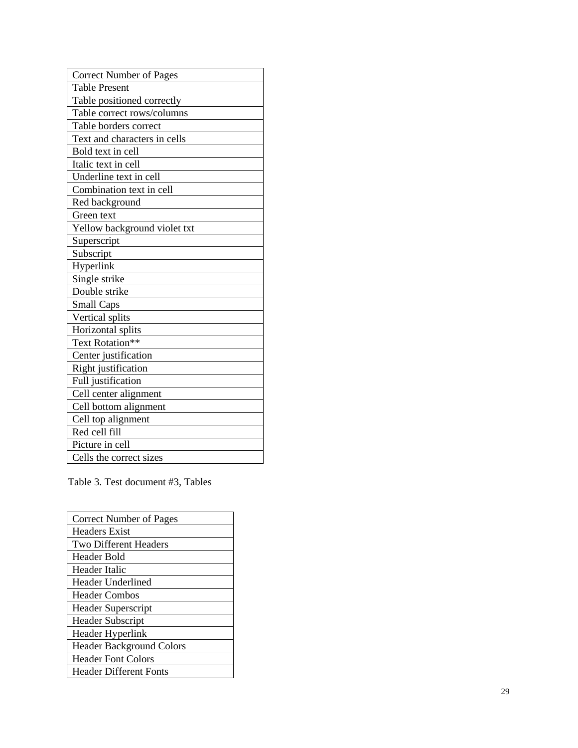| <b>Correct Number of Pages</b> |
|--------------------------------|
| <b>Table Present</b>           |
| Table positioned correctly     |
| Table correct rows/columns     |
| Table borders correct          |
| Text and characters in cells   |
| Bold text in cell              |
| Italic text in cell            |
| Underline text in cell         |
| Combination text in cell       |
| Red background                 |
| Green text                     |
| Yellow background violet txt   |
| Superscript                    |
| Subscript                      |
| Hyperlink                      |
| Single strike                  |
| Double strike                  |
| <b>Small Caps</b>              |
| Vertical splits                |
| Horizontal splits              |
| Text Rotation**                |
| Center justification           |
| Right justification            |
| Full justification             |
| Cell center alignment          |
| Cell bottom alignment          |
| Cell top alignment             |
| Red cell fill                  |
| Picture in cell                |
| Cells the correct sizes        |

Table 3. Test document #3, Tables

| <b>Correct Number of Pages</b>  |
|---------------------------------|
| Headers Exist                   |
| Two Different Headers           |
| Header Bold                     |
| Header Italic                   |
| Header Underlined               |
| <b>Header Combos</b>            |
| Header Superscript              |
| <b>Header Subscript</b>         |
| Header Hyperlink                |
| <b>Header Background Colors</b> |
| <b>Header Font Colors</b>       |
| <b>Header Different Fonts</b>   |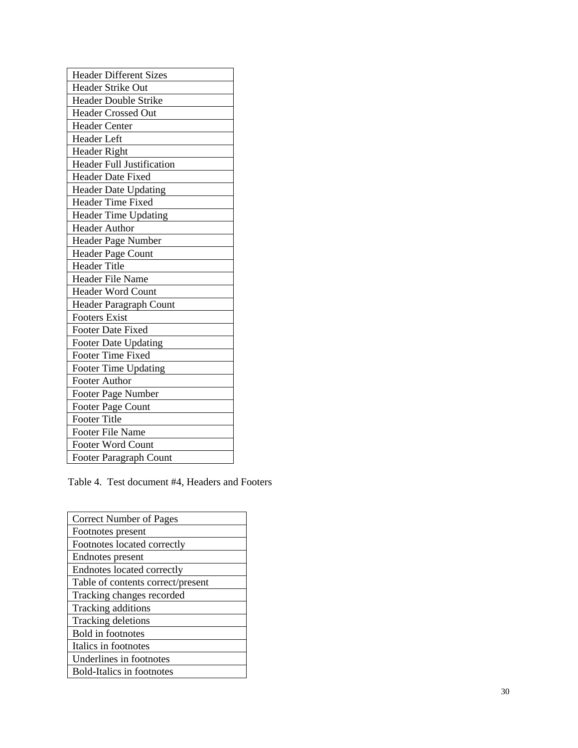| <b>Header Different Sizes</b>    |
|----------------------------------|
| Header Strike Out                |
| <b>Header Double Strike</b>      |
| <b>Header Crossed Out</b>        |
| <b>Header Center</b>             |
| <b>Header</b> Left               |
| <b>Header Right</b>              |
| <b>Header Full Justification</b> |
| <b>Header Date Fixed</b>         |
| <b>Header Date Updating</b>      |
| <b>Header Time Fixed</b>         |
| Header Time Updating             |
| <b>Header Author</b>             |
| Header Page Number               |
| <b>Header Page Count</b>         |
| <b>Header Title</b>              |
| <b>Header File Name</b>          |
| <b>Header Word Count</b>         |
| Header Paragraph Count           |
| <b>Footers Exist</b>             |
| <b>Footer Date Fixed</b>         |
| Footer Date Updating             |
| <b>Footer Time Fixed</b>         |
| Footer Time Updating             |
| <b>Footer Author</b>             |
| Footer Page Number               |
| <b>Footer Page Count</b>         |
| <b>Footer Title</b>              |
| <b>Footer File Name</b>          |
| <b>Footer Word Count</b>         |
| Footer Paragraph Count           |

Table 4. Test document #4, Headers and Footers

| <b>Correct Number of Pages</b>    |
|-----------------------------------|
| Footnotes present                 |
| Footnotes located correctly       |
| Endnotes present                  |
| <b>Endnotes located correctly</b> |
| Table of contents correct/present |
| Tracking changes recorded         |
| Tracking additions                |
| Tracking deletions                |
| <b>Bold</b> in footnotes          |
| Italics in footnotes              |
| Underlines in footnotes           |
| <b>Bold-Italics in footnotes</b>  |